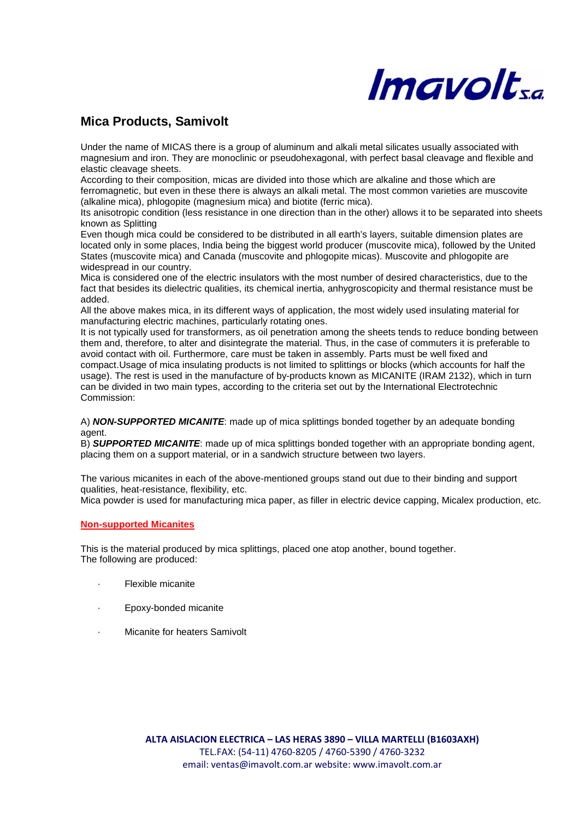

# **Mica Products, Samivolt**

Under the name of MICAS there is a group of aluminum and alkali metal silicates usually associated with magnesium and iron. They are monoclinic or pseudohexagonal, with perfect basal cleavage and flexible and elastic cleavage sheets.

According to their composition, micas are divided into those which are alkaline and those which are ferromagnetic, but even in these there is always an alkali metal. The most common varieties are muscovite (alkaline mica), phlogopite (magnesium mica) and biotite (ferric mica).

Its anisotropic condition (less resistance in one direction than in the other) allows it to be separated into sheets known as Splitting

Even though mica could be considered to be distributed in all earth's layers, suitable dimension plates are located only in some places, India being the biggest world producer (muscovite mica), followed by the United States (muscovite mica) and Canada (muscovite and phlogopite micas). Muscovite and phlogopite are widespread in our country.

Mica is considered one of the electric insulators with the most number of desired characteristics, due to the fact that besides its dielectric qualities, its chemical inertia, anhygroscopicity and thermal resistance must be added.

All the above makes mica, in its different ways of application, the most widely used insulating material for manufacturing electric machines, particularly rotating ones.

It is not typically used for transformers, as oil penetration among the sheets tends to reduce bonding between them and, therefore, to alter and disintegrate the material. Thus, in the case of commuters it is preferable to avoid contact with oil. Furthermore, care must be taken in assembly. Parts must be well fixed and compact.Usage of mica insulating products is not limited to splittings or blocks (which accounts for half the usage). The rest is used in the manufacture of by-products known as MICANITE (IRAM 2132), which in turn can be divided in two main types, according to the criteria set out by the International Electrotechnic Commission:

A) **NON-SUPPORTED MICANITE**: made up of mica splittings bonded together by an adequate bonding agent.

B) **SUPPORTED MICANITE**: made up of mica splittings bonded together with an appropriate bonding agent, placing them on a support material, or in a sandwich structure between two layers.

The various micanites in each of the above-mentioned groups stand out due to their binding and support qualities, heat-resistance, flexibility, etc.

Mica powder is used for manufacturing mica paper, as filler in electric device capping, Micalex production, etc.

#### **Non-supported Micanites**

This is the material produced by mica splittings, placed one atop another, bound together. The following are produced:

- **Flexible micanite**
- Epoxy-bonded micanite
- Micanite for heaters Samivolt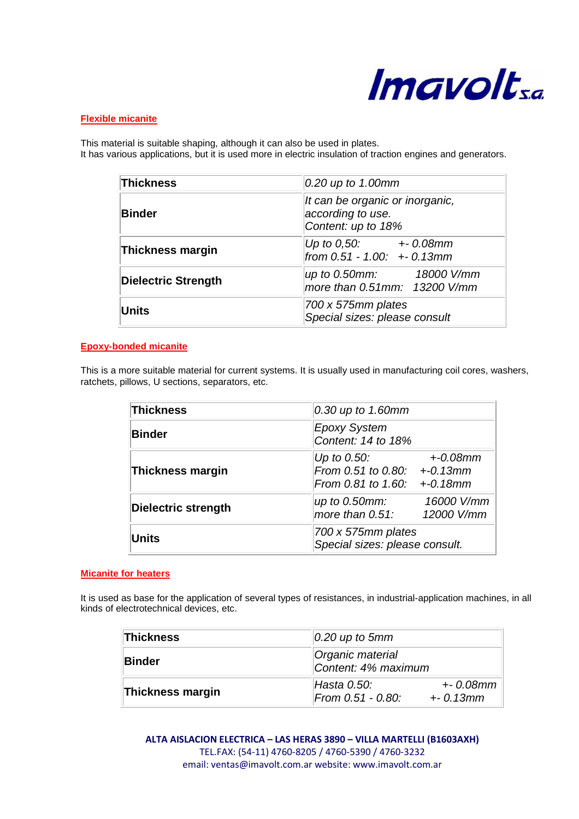

## **Flexible micanite**

This material is suitable shaping, although it can also be used in plates. It has various applications, but it is used more in electric insulation of traction engines and generators.

| Thickness                  | 0.20 up to 1.00mm                                                          |
|----------------------------|----------------------------------------------------------------------------|
| <b>Binder</b>              | It can be organic or inorganic,<br>according to use.<br>Content: up to 18% |
| Thickness margin           | Up to 0,50: + 0.08mm<br>from 0.51 - 1.00: + - 0.13mm                       |
| <b>Dielectric Strength</b> | up to 0.50mm: 18000 V/mm<br>more than 0.51mm: 13200 V/mm                   |
| <b>Units</b>               | 700 x 575mm plates<br>Special sizes: please consult                        |

# **Epoxy-bonded micanite**

This is a more suitable material for current systems. It is usually used in manufacturing coil cores, washers, ratchets, pillows, U sections, separators, etc.

| <b>Thickness</b>        | 0.30 up to 1.60mm                                                                             |  |
|-------------------------|-----------------------------------------------------------------------------------------------|--|
| <b>Binder</b>           | <b>Epoxy System</b><br>Content: 14 to 18%                                                     |  |
| <b>Thickness margin</b> | Up to $0.50$ :<br>$+0.08$ mm<br>From 0.51 to 0.80: +-0.13mm<br>From 0.81 to 1.60: $+$ -0.18mm |  |
| Dielectric strength     | 16000 V/mm<br>up to 0.50mm:<br>more than 0.51:<br>12000 V/mm                                  |  |
| <b>Units</b>            | 700 x 575mm plates<br>Special sizes: please consult.                                          |  |

#### **Micanite for heaters**

It is used as base for the application of several types of resistances, in industrial-application machines, in all kinds of electrotechnical devices, etc.

| Thickness        | $0.20$ up to 5mm                                                   |  |
|------------------|--------------------------------------------------------------------|--|
| ∣Binder          | Organic material<br>Content: 4% maximum                            |  |
| Thickness margin | Hasta 0.50:<br>$+ - 0.08$ mm<br>From 0.51 - 0.80:<br>$+ - 0.13$ mm |  |